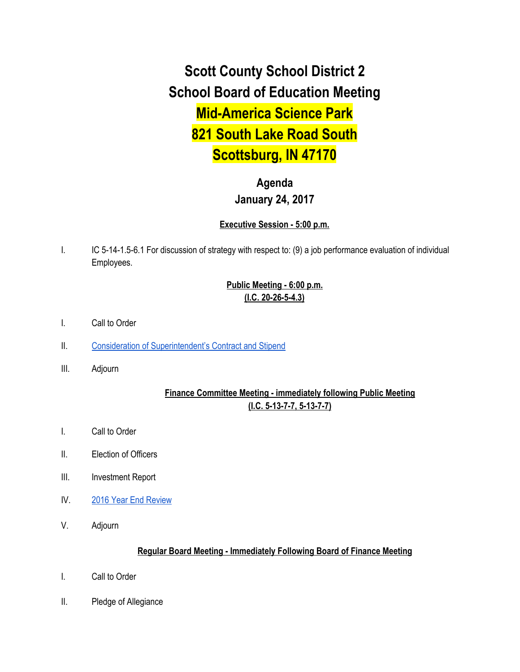**Scott County School District 2 School Board of Education Meeting Mid-America Science Park 821 South Lake Road South Scottsburg, IN 47170**

# **Agenda January 24, 2017**

#### **Executive Session - 5:00 p.m.**

I. IC 5-14-1.5-6.1 For discussion of strategy with respect to: (9) a job performance evaluation of individual Employees.

## **Public Meeting - 6:00 p.m. (I.C. 20-26-5-4.3)**

- I. Call to Order
- II. [Consideration of Superintendent's Contract and Stipend](https://docs.google.com/document/d/1bQsCLF6nCHKCUC2ajLHwpGEHJ49BPILaGW2CeJGkvgY/edit)
- III. Adjourn

### **Finance Committee Meeting - immediately following Public Meeting (I.C. 5-13-7-7, 5-13-7-7)**

- I. Call to Order
- II. Election of Officers
- III. Investment Report
- IV. [2016 Year End Review](https://drive.google.com/file/d/0BxXvxnGh3EX1ODV1NnRFczQzNE5uNThQRl9LS1c3ajRINlVr/view)
- V. Adjourn

#### **Regular Board Meeting - Immediately Following Board of Finance Meeting**

- I. Call to Order
- II. Pledge of Allegiance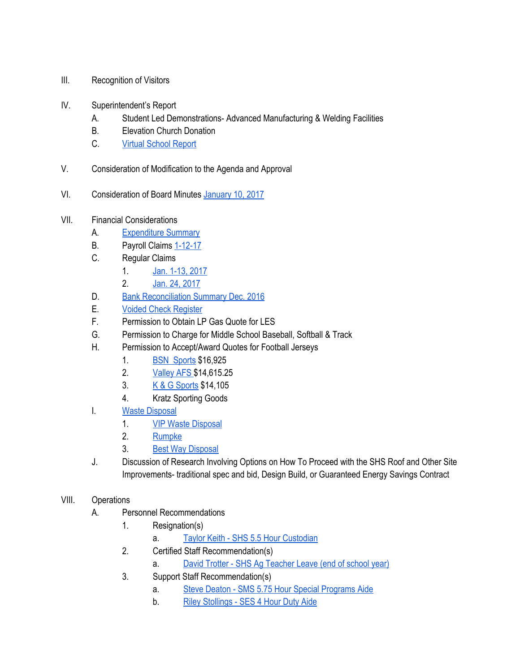- III. Recognition of Visitors
- IV. Superintendent's Report
	- A. Student Led Demonstrations- Advanced Manufacturing & Welding Facilities
	- B. Elevation Church Donation
	- C. [Virtual School Report](https://docs.google.com/spreadsheets/d/1fhF6Boj7BfrO6ThFSSFVUCuK99XlB36P6gABF-KMDms/edit#gid=0)
- V. Consideration of Modification to the Agenda and Approval
- VI. Consideration of Board Minutes [January 10, 2017](https://docs.google.com/document/d/1zc00Xq4IBDqJ_Dm_QPGDDxLlioaiqDvTuwkRSj9pscw/edit)
- VII. Financial Considerations
	- A. [Expenditure Summary](https://drive.google.com/file/d/0BxXvxnGh3EX1SWdLa2tQRFhKazNza2QzRU9CNk84a2JVUVFF/view)
	- B. Payroll Claims [1-12-17](https://drive.google.com/file/d/0BxXvxnGh3EX1blU2N3Uwbm11T3FyTjh2VE5kX1R5VnZvQUlv/view)
	- C. Regular Claims
		- 1. [Jan. 1-13, 2017](https://drive.google.com/file/d/0BxXvxnGh3EX1MFJoMC1CbTVfa0JjODlLM3lYUHdvc3c1UE00/view)
		- 2. [Jan. 24, 2017](https://drive.google.com/file/d/0BxXvxnGh3EX1bEhZenN2MXF4TjNneVhQZnhCdlRhbzl1T1pN/view)
	- D. [Bank Reconciliation Summary Dec. 2016](https://drive.google.com/file/d/0BxXvxnGh3EX1SURjNDA5R3VycVRLajNsLU5CN1ExSHBRNjF3/view)
	- E. [Voided Check Register](https://drive.google.com/file/d/0BxXvxnGh3EX1QTBGUHpkUVdNTUVQdmFsbXM1U0Y0cUU1Y0VZ/view)
	- F. Permission to Obtain LP Gas Quote for LES
	- G. Permission to Charge for Middle School Baseball, Softball & Track
	- H. Permission to Accept/Award Quotes for Football Jerseys
		- 1. [BSN Sports](https://drive.google.com/file/d/0BxXvxnGh3EX1VUNkRTN0azZHNWJCVU9aaER1V01meWlBZWxZ/view) \$16,925
		- 2. [Valley AFS \\$](https://docs.google.com/document/d/1IDwQojuCz90v8iZJxknfc639dhatIWa9Nw-y3KFDdK0/edit)14,615.25
		- 3. [K & G Sports](https://docs.google.com/document/d/1WWyDqozMo4WTxfdF3EO00xlM0jQsgkziwvLyypxsaKQ/edit) \$14,105
		- 4. Kratz Sporting Goods
	- I. [Waste Disposal](https://docs.google.com/document/d/1P1Pkcbi7lL0FNXoRoOHjYgh2XUUSYANJaIVbk_9h8Qs/edit)
		- 1. **[VIP Waste Disposal](https://drive.google.com/file/d/0BxXvxnGh3EX1MGJqOVdvTVJCSkxVWWpmVGNlUjR3TkFOdS1j/view)**
		- 2. [Rumpke](https://drive.google.com/file/d/0BxXvxnGh3EX1VXgyTXJLZWVVZXhXSmJWNUF5dkZLaVRzSTdB/view)
		- 3. [Best Way Disposal](https://drive.google.com/file/d/0BxXvxnGh3EX1SFl6OGxBZk1IeC1fMnI4OXBxQ240dE51QzRr/view)
	- J. Discussion of Research Involving Options on How To Proceed with the SHS Roof and Other Site Improvements- traditional spec and bid, Design Build, or Guaranteed Energy Savings Contract

#### VIII. Operations

- A. Personnel Recommendations
	- 1. Resignation(s)
		- a. [Taylor Keith SHS 5.5 Hour Custodian](https://drive.google.com/file/d/0BxXvxnGh3EX1eU5STE5JZC11VjhqWmo5Z1Z4SDJGcEZPTDA0/view)
	- 2. Certified Staff Recommendation(s)
		- a. [David Trotter SHS Ag Teacher Leave \(end of school year\)](https://drive.google.com/file/d/0BxXvxnGh3EX1X3hLbUwwV3FWQ1hRTGdfcklQSnBLWjVUVWxN/view)
	- 3. Support Staff Recommendation(s)
		- a. [Steve Deaton SMS 5.75 Hour Special Programs Aide](https://drive.google.com/file/d/0BxXvxnGh3EX1RjlKT3c1X0VqbFZZak96YVBHeFAtd2stQWYw/view)
		- b. [Riley Stollings SES 4 Hour Duty Aide](https://drive.google.com/file/d/0BxXvxnGh3EX1QU96RTlCXzFoWDZqM0djTXFJTnA2cWNCWS1F/view)